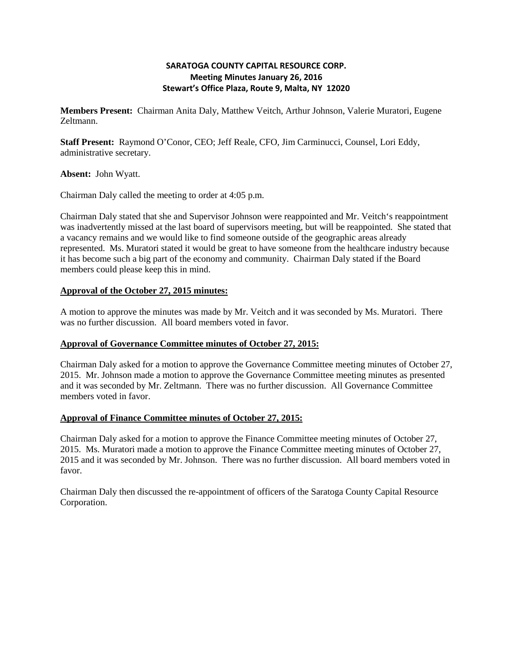## **SARATOGA COUNTY CAPITAL RESOURCE CORP. Meeting Minutes January 26, 2016 Stewart's Office Plaza, Route 9, Malta, NY 12020**

**Members Present:** Chairman Anita Daly, Matthew Veitch, Arthur Johnson, Valerie Muratori, Eugene Zeltmann.

**Staff Present:** Raymond O'Conor, CEO; Jeff Reale, CFO, Jim Carminucci, Counsel, Lori Eddy, administrative secretary.

**Absent:** John Wyatt.

Chairman Daly called the meeting to order at 4:05 p.m.

Chairman Daly stated that she and Supervisor Johnson were reappointed and Mr. Veitch's reappointment was inadvertently missed at the last board of supervisors meeting, but will be reappointed. She stated that a vacancy remains and we would like to find someone outside of the geographic areas already represented. Ms. Muratori stated it would be great to have someone from the healthcare industry because it has become such a big part of the economy and community. Chairman Daly stated if the Board members could please keep this in mind.

### **Approval of the October 27, 2015 minutes:**

A motion to approve the minutes was made by Mr. Veitch and it was seconded by Ms. Muratori. There was no further discussion. All board members voted in favor.

### **Approval of Governance Committee minutes of October 27, 2015:**

Chairman Daly asked for a motion to approve the Governance Committee meeting minutes of October 27, 2015. Mr. Johnson made a motion to approve the Governance Committee meeting minutes as presented and it was seconded by Mr. Zeltmann. There was no further discussion. All Governance Committee members voted in favor.

### **Approval of Finance Committee minutes of October 27, 2015:**

Chairman Daly asked for a motion to approve the Finance Committee meeting minutes of October 27, 2015. Ms. Muratori made a motion to approve the Finance Committee meeting minutes of October 27, 2015 and it was seconded by Mr. Johnson. There was no further discussion. All board members voted in favor.

Chairman Daly then discussed the re-appointment of officers of the Saratoga County Capital Resource Corporation.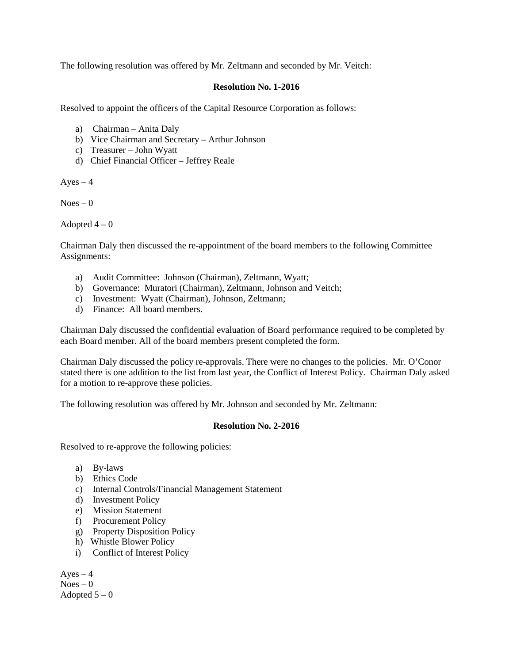The following resolution was offered by Mr. Zeltmann and seconded by Mr. Veitch:

### **Resolution No. 1-2016**

Resolved to appoint the officers of the Capital Resource Corporation as follows:

- a) Chairman Anita Daly
- b) Vice Chairman and Secretary Arthur Johnson
- c) Treasurer John Wyatt
- d) Chief Financial Officer Jeffrey Reale

 $Ayes - 4$ 

 $Noes - 0$ 

Adopted  $4-0$ 

Chairman Daly then discussed the re-appointment of the board members to the following Committee Assignments:

- a) Audit Committee: Johnson (Chairman), Zeltmann, Wyatt;
- b) Governance: Muratori (Chairman), Zeltmann, Johnson and Veitch;
- c) Investment: Wyatt (Chairman), Johnson, Zeltmann;
- d) Finance: All board members.

Chairman Daly discussed the confidential evaluation of Board performance required to be completed by each Board member. All of the board members present completed the form.

Chairman Daly discussed the policy re-approvals. There were no changes to the policies. Mr. O'Conor stated there is one addition to the list from last year, the Conflict of Interest Policy. Chairman Daly asked for a motion to re-approve these policies.

The following resolution was offered by Mr. Johnson and seconded by Mr. Zeltmann:

# **Resolution No. 2-2016**

Resolved to re-approve the following policies:

- a) By-laws
- b) Ethics Code
- c) Internal Controls/Financial Management Statement
- d) Investment Policy
- e) Mission Statement
- f) Procurement Policy
- g) Property Disposition Policy
- h) Whistle Blower Policy
- i) Conflict of Interest Policy

 $Ayes - 4$  $Noes - 0$ Adopted  $5-0$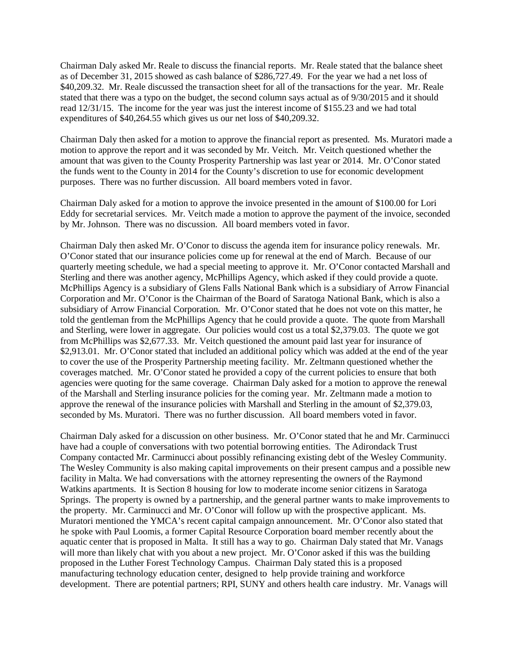Chairman Daly asked Mr. Reale to discuss the financial reports. Mr. Reale stated that the balance sheet as of December 31, 2015 showed as cash balance of \$286,727.49. For the year we had a net loss of \$40,209.32. Mr. Reale discussed the transaction sheet for all of the transactions for the year. Mr. Reale stated that there was a typo on the budget, the second column says actual as of 9/30/2015 and it should read 12/31/15. The income for the year was just the interest income of \$155.23 and we had total expenditures of \$40,264.55 which gives us our net loss of \$40,209.32.

Chairman Daly then asked for a motion to approve the financial report as presented. Ms. Muratori made a motion to approve the report and it was seconded by Mr. Veitch. Mr. Veitch questioned whether the amount that was given to the County Prosperity Partnership was last year or 2014. Mr. O'Conor stated the funds went to the County in 2014 for the County's discretion to use for economic development purposes. There was no further discussion. All board members voted in favor.

Chairman Daly asked for a motion to approve the invoice presented in the amount of \$100.00 for Lori Eddy for secretarial services. Mr. Veitch made a motion to approve the payment of the invoice, seconded by Mr. Johnson. There was no discussion. All board members voted in favor.

Chairman Daly then asked Mr. O'Conor to discuss the agenda item for insurance policy renewals. Mr. O'Conor stated that our insurance policies come up for renewal at the end of March. Because of our quarterly meeting schedule, we had a special meeting to approve it. Mr. O'Conor contacted Marshall and Sterling and there was another agency, McPhillips Agency, which asked if they could provide a quote. McPhillips Agency is a subsidiary of Glens Falls National Bank which is a subsidiary of Arrow Financial Corporation and Mr. O'Conor is the Chairman of the Board of Saratoga National Bank, which is also a subsidiary of Arrow Financial Corporation. Mr. O'Conor stated that he does not vote on this matter, he told the gentleman from the McPhillips Agency that he could provide a quote. The quote from Marshall and Sterling, were lower in aggregate. Our policies would cost us a total \$2,379.03. The quote we got from McPhillips was \$2,677.33. Mr. Veitch questioned the amount paid last year for insurance of \$2,913.01. Mr. O'Conor stated that included an additional policy which was added at the end of the year to cover the use of the Prosperity Partnership meeting facility. Mr. Zeltmann questioned whether the coverages matched. Mr. O'Conor stated he provided a copy of the current policies to ensure that both agencies were quoting for the same coverage. Chairman Daly asked for a motion to approve the renewal of the Marshall and Sterling insurance policies for the coming year. Mr. Zeltmann made a motion to approve the renewal of the insurance policies with Marshall and Sterling in the amount of \$2,379.03, seconded by Ms. Muratori. There was no further discussion. All board members voted in favor.

Chairman Daly asked for a discussion on other business. Mr. O'Conor stated that he and Mr. Carminucci have had a couple of conversations with two potential borrowing entities. The Adirondack Trust Company contacted Mr. Carminucci about possibly refinancing existing debt of the Wesley Community. The Wesley Community is also making capital improvements on their present campus and a possible new facility in Malta. We had conversations with the attorney representing the owners of the Raymond Watkins apartments. It is Section 8 housing for low to moderate income senior citizens in Saratoga Springs. The property is owned by a partnership, and the general partner wants to make improvements to the property. Mr. Carminucci and Mr. O'Conor will follow up with the prospective applicant. Ms. Muratori mentioned the YMCA's recent capital campaign announcement. Mr. O'Conor also stated that he spoke with Paul Loomis, a former Capital Resource Corporation board member recently about the aquatic center that is proposed in Malta. It still has a way to go. Chairman Daly stated that Mr. Vanags will more than likely chat with you about a new project. Mr. O'Conor asked if this was the building proposed in the Luther Forest Technology Campus. Chairman Daly stated this is a proposed manufacturing technology education center, designed to help provide training and workforce development. There are potential partners; RPI, SUNY and others health care industry. Mr. Vanags will